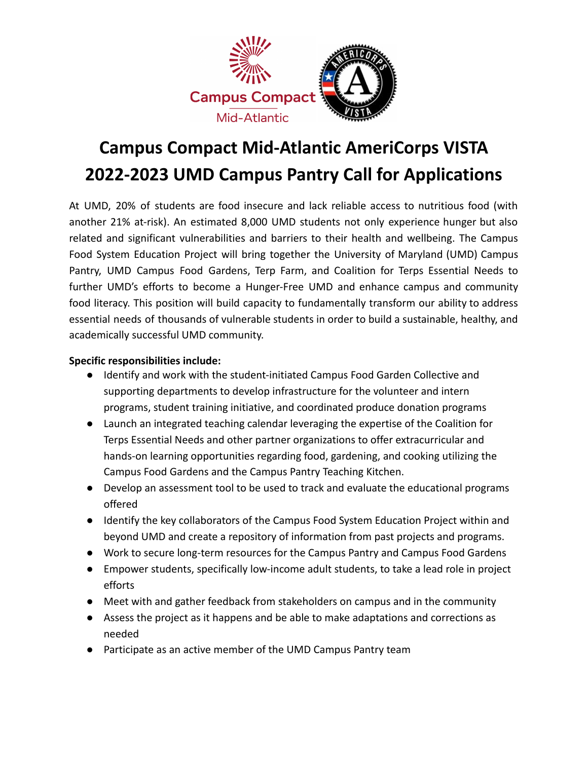

## **Campus Compact Mid-Atlantic AmeriCorps VISTA 2022-2023 UMD Campus Pantry Call for Applications**

At UMD, 20% of students are food insecure and lack reliable access to nutritious food (with another 21% at-risk). An estimated 8,000 UMD students not only experience hunger but also related and significant vulnerabilities and barriers to their health and wellbeing. The Campus Food System Education Project will bring together the University of Maryland (UMD) Campus Pantry, UMD Campus Food Gardens, Terp Farm, and Coalition for Terps Essential Needs to further UMD's efforts to become a Hunger-Free UMD and enhance campus and community food literacy. This position will build capacity to fundamentally transform our ability to address essential needs of thousands of vulnerable students in order to build a sustainable, healthy, and academically successful UMD community.

## **Specific responsibilities include:**

- Identify and work with the student-initiated Campus Food Garden Collective and supporting departments to develop infrastructure for the volunteer and intern programs, student training initiative, and coordinated produce donation programs
- Launch an integrated teaching calendar leveraging the expertise of the Coalition for Terps Essential Needs and other partner organizations to offer extracurricular and hands-on learning opportunities regarding food, gardening, and cooking utilizing the Campus Food Gardens and the Campus Pantry Teaching Kitchen.
- Develop an assessment tool to be used to track and evaluate the educational programs offered
- Identify the key collaborators of the Campus Food System Education Project within and beyond UMD and create a repository of information from past projects and programs.
- Work to secure long-term resources for the Campus Pantry and Campus Food Gardens
- Empower students, specifically low-income adult students, to take a lead role in project efforts
- Meet with and gather feedback from stakeholders on campus and in the community
- Assess the project as it happens and be able to make adaptations and corrections as needed
- Participate as an active member of the UMD Campus Pantry team